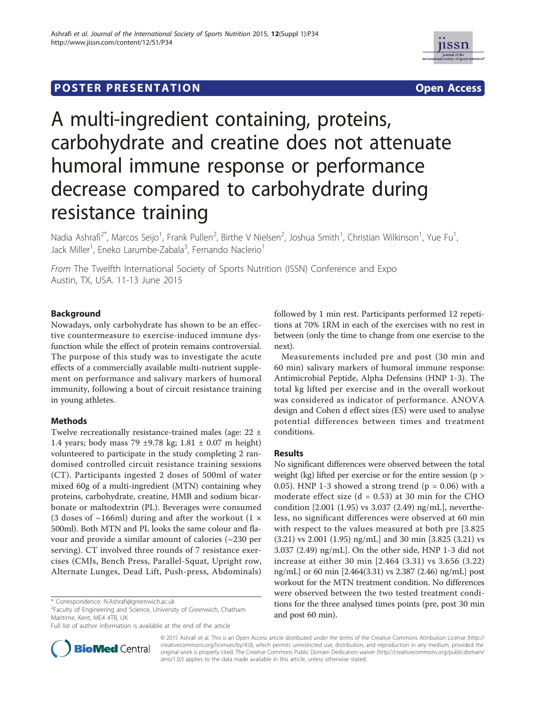## **POSTER PRESENTATION CONSUMING THE SERVICE SERVICE SERVICE SERVICES**





# A multi-ingredient containing, proteins, carbohydrate and creatine does not attenuate humoral immune response or performance decrease compared to carbohydrate during resistance training

Nadia Ashrafi<sup>2\*</sup>, Marcos Seijo<sup>1</sup>, Frank Pullen<sup>2</sup>, Birthe V Nielsen<sup>2</sup>, Joshua Smith<sup>1</sup>, Christian Wilkinson<sup>1</sup>, Yue Fu<sup>1</sup> , Jack Miller<sup>1</sup>, Eneko Larumbe-Zabala<sup>3</sup>, Fernando Naclerio<sup>1</sup>

From The Twelfth International Society of Sports Nutrition (ISSN) Conference and Expo Austin, TX, USA. 11-13 June 2015

## Background

Nowadays, only carbohydrate has shown to be an effective countermeasure to exercise-induced immune dysfunction while the effect of protein remains controversial. The purpose of this study was to investigate the acute effects of a commercially available multi-nutrient supplement on performance and salivary markers of humoral immunity, following a bout of circuit resistance training in young athletes.

## Methods

Twelve recreationally resistance-trained males (age: 22 ± 1.4 years; body mass 79 ±9.78 kg; 1.81 ± 0.07 m height) volunteered to participate in the study completing 2 randomised controlled circuit resistance training sessions (CT). Participants ingested 2 doses of 500ml of water mixed 60g of a multi-ingredient (MTN) containing whey proteins, carbohydrate, creatine, HMB and sodium bicarbonate or maltodextrin (PL). Beverages were consumed (3 doses of  $\sim$ 166ml) during and after the workout (1  $\times$ 500ml). Both MTN and PL looks the same colour and flavour and provide a similar amount of calories (~230 per serving). CT involved three rounds of 7 resistance exercises (CMJs, Bench Press, Parallel-Squat, Upright row, Alternate Lunges, Dead Lift, Push-press, Abdominals)

<sup>2</sup> Faculty of Engineering and Science, University of Greenwich, Chatham Maritime, Kent, ME4 4TB, UK

Full list of author information is available at the end of the article



followed by 1 min rest. Participants performed 12 repetitions at 70% 1RM in each of the exercises with no rest in between (only the time to change from one exercise to the next).

Measurements included pre and post (30 min and 60 min) salivary markers of humoral immune response: Antimicrobial Peptide, Alpha Defensins (HNP 1-3). The total kg lifted per exercise and in the overall workout was considered as indicator of performance. ANOVA design and Cohen d effect sizes (ES) were used to analyse potential differences between times and treatment conditions.

## Results

No significant differences were observed between the total weight (kg) lifted per exercise or for the entire session (p > 0.05). HNP 1-3 showed a strong trend ( $p = 0.06$ ) with a moderate effect size  $(d = 0.53)$  at 30 min for the CHO condition [2.001 (1.95) vs 3.037 (2.49) ng/mL], nevertheless, no significant differences were observed at 60 min with respect to the values measured at both pre [3.825 (3.21) vs 2.001 (1.95) ng/mL] and 30 min [3.825 (3.21) vs 3.037 (2.49) ng/mL]. On the other side, HNP 1-3 did not increase at either 30 min [2.464 (3.31) vs 3.656 (3.22) ng/mL] or 60 min [2.464(3.31) vs 2.387 (2.46) ng/mL] post workout for the MTN treatment condition. No differences were observed between the two tested treatment conditions for the three analysed times points (pre, post 30 min and post 60 min).

© 2015 Ashrafi et al. This is an Open Access article distributed under the terms of the Creative Commons Attribution License (http:// creativecommons.org/licenses/by/4.0), which permits unrestricted use, distribution, and reproduction in any medium, provided the original work is properly cited. The Creative Commons Public Domain Dedication waiver (http://creativecommons.org/publicdomain/ zero/1.0/) applies to the data made available in this article, unless otherwise stated.

<sup>\*</sup> Correspondence: N.Ashrafi@greenwich.ac.uk